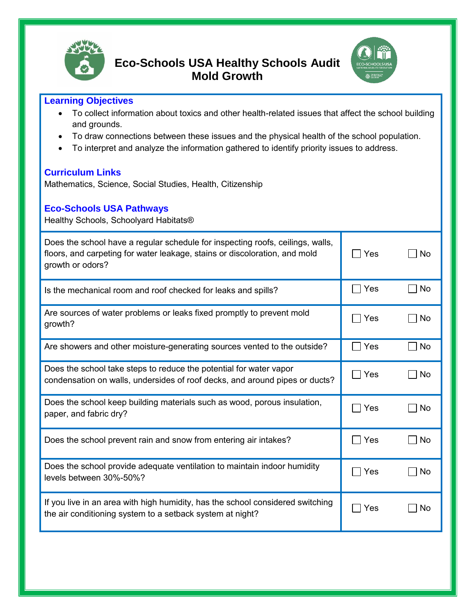



## **Learning Objectives**

- To collect information about toxics and other health-related issues that affect the school building and grounds.
- To draw connections between these issues and the physical health of the school population.
- To interpret and analyze the information gathered to identify priority issues to address.

## **Curriculum Links**

Mathematics, Science, Social Studies, Health, Citizenship

## **Eco-Schools USA Pathways**

Healthy Schools, Schoolyard Habitats®

| Does the school have a regular schedule for inspecting roofs, ceilings, walls,<br>floors, and carpeting for water leakage, stains or discoloration, and mold<br>growth or odors? | Yes              | No.       |
|----------------------------------------------------------------------------------------------------------------------------------------------------------------------------------|------------------|-----------|
| Is the mechanical room and roof checked for leaks and spills?                                                                                                                    | Yes              | <b>No</b> |
| Are sources of water problems or leaks fixed promptly to prevent mold<br>growth?                                                                                                 | Yes              | <b>No</b> |
| Are showers and other moisture-generating sources vented to the outside?                                                                                                         | Yes<br>$\sim 10$ | No        |
| Does the school take steps to reduce the potential for water vapor<br>condensation on walls, undersides of roof decks, and around pipes or ducts?                                | Yes              | No.       |
| Does the school keep building materials such as wood, porous insulation,<br>paper, and fabric dry?                                                                               | Yes              | <b>No</b> |
| Does the school prevent rain and snow from entering air intakes?                                                                                                                 | Yes              | <b>No</b> |
| Does the school provide adequate ventilation to maintain indoor humidity<br>levels between 30%-50%?                                                                              | Yes              | No        |
| If you live in an area with high humidity, has the school considered switching<br>the air conditioning system to a setback system at night?                                      | Yes              | No        |